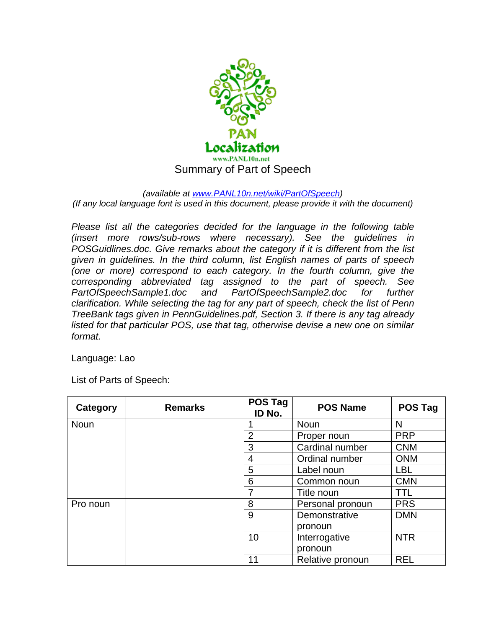

## *(available at www.PANL10n.net/wiki/PartOfSpeech)*

*(If any local language font is used in this document, please provide it with the document)* 

*Please list all the categories decided for the language in the following table (insert more rows/sub-rows where necessary). See the guidelines in POSGuidlines.doc. Give remarks about the category if it is different from the list given in guidelines. In the third column, list English names of parts of speech (one or more) correspond to each category. In the fourth column, give the corresponding abbreviated tag assigned to the part of speech. See PartOfSpeechSample1.doc and PartOfSpeechSample2.doc for further clarification. While selecting the tag for any part of speech, check the list of Penn TreeBank tags given in PennGuidelines.pdf, Section 3. If there is any tag already listed for that particular POS, use that tag, otherwise devise a new one on similar format.* 

Language: Lao

List of Parts of Speech:

| Category | <b>Remarks</b> | <b>POS Tag</b><br>ID No. | <b>POS Name</b>  | <b>POS Tag</b> |
|----------|----------------|--------------------------|------------------|----------------|
| Noun     |                |                          | Noun             | N              |
|          |                | $\overline{2}$           | Proper noun      | <b>PRP</b>     |
|          |                | 3                        | Cardinal number  | <b>CNM</b>     |
|          |                | 4                        | Ordinal number   | <b>ONM</b>     |
|          |                | 5                        | Label noun       | <b>LBL</b>     |
|          |                | 6                        | Common noun      | <b>CMN</b>     |
|          |                | 7                        | Title noun       | TTL            |
| Pro noun |                | 8                        | Personal pronoun | <b>PRS</b>     |
|          |                | 9                        | Demonstrative    | <b>DMN</b>     |
|          |                |                          | pronoun          |                |
|          |                | 10                       | Interrogative    | <b>NTR</b>     |
|          |                |                          | pronoun          |                |
|          |                | 11                       | Relative pronoun | <b>REL</b>     |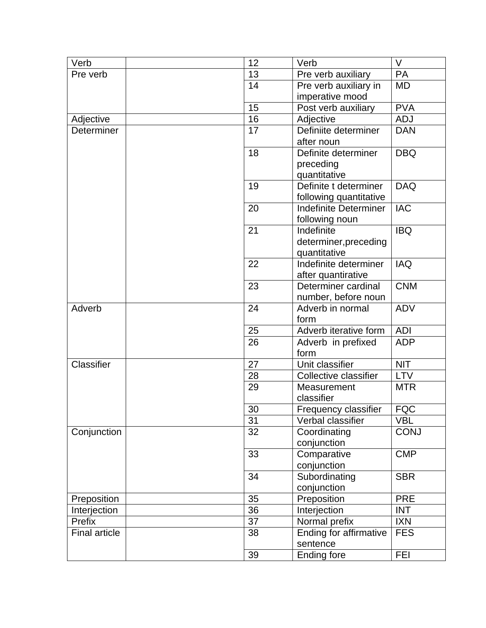| Verb          |  | 12       | Verb                          | V                         |
|---------------|--|----------|-------------------------------|---------------------------|
| Pre verb      |  | 13       | Pre verb auxiliary            | PA                        |
|               |  | 14       | Pre verb auxiliary in         | <b>MD</b>                 |
|               |  |          | imperative mood               |                           |
|               |  | 15       | Post verb auxiliary           | <b>PVA</b>                |
| Adjective     |  | 16       | Adjective                     | <b>ADJ</b>                |
| Determiner    |  | 17       | Definiite determiner          | <b>DAN</b>                |
|               |  |          | after noun                    |                           |
|               |  | 18       | Definite determiner           | <b>DBQ</b>                |
|               |  |          | preceding                     |                           |
|               |  |          | quantitative                  |                           |
|               |  | 19       | Definite t determiner         | <b>DAQ</b>                |
|               |  |          | following quantitative        |                           |
|               |  | 20       | <b>Indefinite Determiner</b>  | <b>IAC</b>                |
|               |  |          | following noun                |                           |
|               |  | 21       | Indefinite                    | <b>IBQ</b>                |
|               |  |          | determiner, preceding         |                           |
|               |  |          | quantitative                  |                           |
|               |  | 22       | Indefinite determiner         | <b>IAQ</b>                |
|               |  |          | after quantirative            |                           |
|               |  | 23       | Determiner cardinal           | <b>CNM</b>                |
|               |  |          | number, before noun           |                           |
| Adverb        |  | 24       | Adverb in normal              | <b>ADV</b>                |
|               |  |          | form                          |                           |
|               |  | 25       | Adverb iterative form         | <b>ADI</b>                |
|               |  | 26       | Adverb in prefixed            | <b>ADP</b>                |
|               |  | 27       | form<br>Unit classifier       | <b>NIT</b>                |
| Classifier    |  |          |                               |                           |
|               |  | 28       | <b>Collective classifier</b>  | <b>LTV</b>                |
|               |  | 29       | Measurement<br>classifier     | <b>MTR</b>                |
|               |  | 30       |                               | <b>FQC</b>                |
|               |  |          | Frequency classifier          |                           |
|               |  | 31<br>32 | Verbal classifier             | <b>VBL</b><br><b>CONJ</b> |
| Conjunction   |  |          | Coordinating<br>conjunction   |                           |
|               |  | 33       | Comparative                   | <b>CMP</b>                |
|               |  |          | conjunction                   |                           |
|               |  | 34       | Subordinating                 | <b>SBR</b>                |
|               |  |          | conjunction                   |                           |
| Preposition   |  | 35       | Preposition                   | <b>PRE</b>                |
| Interjection  |  | 36       | Interjection                  | <b>INT</b>                |
| Prefix        |  | 37       | Normal prefix                 | <b>IXN</b>                |
| Final article |  | 38       | <b>Ending for affirmative</b> | <b>FES</b>                |
|               |  |          | sentence                      |                           |
|               |  | 39       | <b>Ending fore</b>            | <b>FEI</b>                |
|               |  |          |                               |                           |